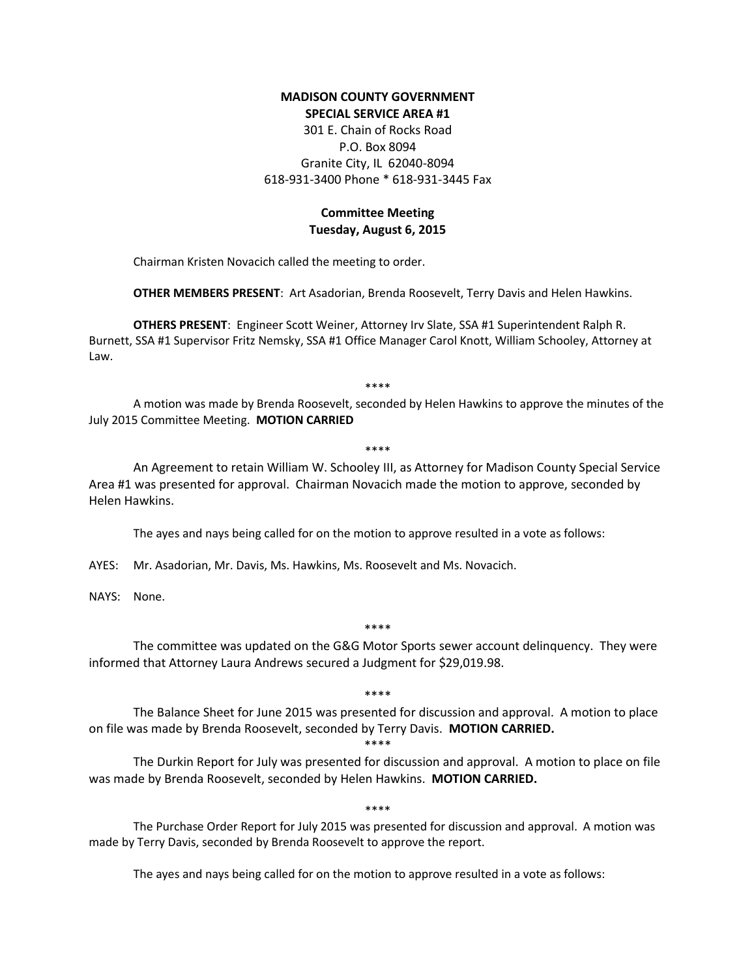### **MADISON COUNTY GOVERNMENT SPECIAL SERVICE AREA #1**

301 E. Chain of Rocks Road P.O. Box 8094 Granite City, IL 62040-8094 618-931-3400 Phone \* 618-931-3445 Fax

# **Committee Meeting Tuesday, August 6, 2015**

Chairman Kristen Novacich called the meeting to order.

**OTHER MEMBERS PRESENT**: Art Asadorian, Brenda Roosevelt, Terry Davis and Helen Hawkins.

**OTHERS PRESENT**: Engineer Scott Weiner, Attorney Irv Slate, SSA #1 Superintendent Ralph R. Burnett, SSA #1 Supervisor Fritz Nemsky, SSA #1 Office Manager Carol Knott, William Schooley, Attorney at Law.

\*\*\*\*

A motion was made by Brenda Roosevelt, seconded by Helen Hawkins to approve the minutes of the July 2015 Committee Meeting. **MOTION CARRIED**

\*\*\*\*

An Agreement to retain William W. Schooley III, as Attorney for Madison County Special Service Area #1 was presented for approval. Chairman Novacich made the motion to approve, seconded by Helen Hawkins.

The ayes and nays being called for on the motion to approve resulted in a vote as follows:

AYES: Mr. Asadorian, Mr. Davis, Ms. Hawkins, Ms. Roosevelt and Ms. Novacich.

NAYS: None.

\*\*\*\*

The committee was updated on the G&G Motor Sports sewer account delinquency. They were informed that Attorney Laura Andrews secured a Judgment for \$29,019.98.

\*\*\*\*

The Balance Sheet for June 2015 was presented for discussion and approval. A motion to place on file was made by Brenda Roosevelt, seconded by Terry Davis. **MOTION CARRIED.**

### \*\*\*\*

The Durkin Report for July was presented for discussion and approval. A motion to place on file was made by Brenda Roosevelt, seconded by Helen Hawkins. **MOTION CARRIED.**

#### \*\*\*\*

The Purchase Order Report for July 2015 was presented for discussion and approval. A motion was made by Terry Davis, seconded by Brenda Roosevelt to approve the report.

The ayes and nays being called for on the motion to approve resulted in a vote as follows: